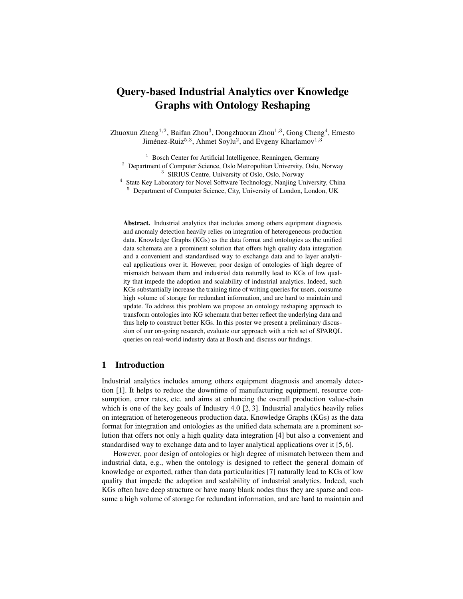# Query-based Industrial Analytics over Knowledge Graphs with Ontology Reshaping

Zhuoxun Zheng<sup>1,2</sup>, Baifan Zhou<sup>3</sup>, Dongzhuoran Zhou<sup>1,3</sup>, Gong Cheng<sup>4</sup>, Ernesto Jiménez-Ruiz $^{5,3}$ , Ahmet Soylu<sup>2</sup>, and Evgeny Kharlamov<sup>1,3</sup>

<sup>1</sup> Bosch Center for Artificial Intelligence, Renningen, Germany

<sup>2</sup> Department of Computer Science, Oslo Metropolitan University, Oslo, Norway 3 SIRIUS Centre, University of Oslo, Oslo, Norway

4 State Key Laboratory for Novel Software Technology, Nanjing University, China <sup>5</sup> Department of Computer Science, City, University of London, London, UK

Abstract. Industrial analytics that includes among others equipment diagnosis and anomaly detection heavily relies on integration of heterogeneous production data. Knowledge Graphs (KGs) as the data format and ontologies as the unified data schemata are a prominent solution that offers high quality data integration and a convenient and standardised way to exchange data and to layer analytical applications over it. However, poor design of ontologies of high degree of mismatch between them and industrial data naturally lead to KGs of low quality that impede the adoption and scalability of industrial analytics. Indeed, such KGs substantially increase the training time of writing queries for users, consume high volume of storage for redundant information, and are hard to maintain and update. To address this problem we propose an ontology reshaping approach to transform ontologies into KG schemata that better reflect the underlying data and thus help to construct better KGs. In this poster we present a preliminary discussion of our on-going research, evaluate our approach with a rich set of SPARQL queries on real-world industry data at Bosch and discuss our findings.

## 1 Introduction

Industrial analytics includes among others equipment diagnosis and anomaly detection [1]. It helps to reduce the downtime of manufacturing equipment, resource consumption, error rates, etc. and aims at enhancing the overall production value-chain which is one of the key goals of Industry 4.0 [2, 3]. Industrial analytics heavily relies on integration of heterogeneous production data. Knowledge Graphs (KGs) as the data format for integration and ontologies as the unified data schemata are a prominent solution that offers not only a high quality data integration [4] but also a convenient and standardised way to exchange data and to layer analytical applications over it [5, 6].

However, poor design of ontologies or high degree of mismatch between them and industrial data, e.g., when the ontology is designed to reflect the general domain of knowledge or exported, rather than data particularities [7] naturally lead to KGs of low quality that impede the adoption and scalability of industrial analytics. Indeed, such KGs often have deep structure or have many blank nodes thus they are sparse and consume a high volume of storage for redundant information, and are hard to maintain and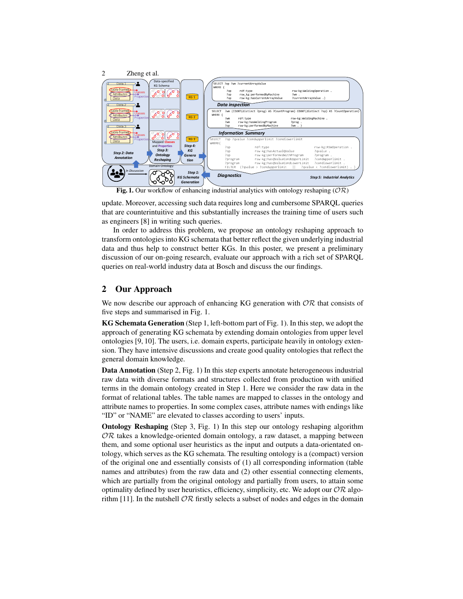

Fig. 1. Our workflow of enhancing industrial analytics with ontology reshaping  $(\mathcal{O}\mathcal{R})$ 

update. Moreover, accessing such data requires long and cumbersome SPARQL queries that are counterintuitive and this substantially increases the training time of users such as engineers [8] in writing such queries.

In order to address this problem, we propose an ontology reshaping approach to transform ontologies into KG schemata that better reflect the given underlying industrial data and thus help to construct better KGs. In this poster, we present a preliminary discussion of our on-going research, evaluate our approach with a rich set of SPARQL queries on real-world industry data at Bosch and discuss the our findings.

# 2 Our Approach

We now describe our approach of enhancing KG generation with  $\mathcal{OR}$  that consists of five steps and summarised in Fig. 1.

KG Schemata Generation (Step 1, left-bottom part of Fig. 1). In this step, we adopt the approach of generating KG schemata by extending domain ontologies from upper level ontologies [9, 10]. The users, i.e. domain experts, participate heavily in ontology extension. They have intensive discussions and create good quality ontologies that reflect the general domain knowledge.

Data Annotation (Step 2, Fig. 1) In this step experts annotate heterogeneous industrial raw data with diverse formats and structures collected from production with unified terms in the domain ontology created in Step 1. Here we consider the raw data in the format of relational tables. The table names are mapped to classes in the ontology and attribute names to properties. In some complex cases, attribute names with endings like "ID" or "NAME" are elevated to classes according to users' inputs.

Ontology Reshaping (Step 3, Fig. 1) In this step our ontology reshaping algorithm  $OR$  takes a knowledge-oriented domain ontology, a raw dataset, a mapping between them, and some optional user heuristics as the input and outputs a data-orientated ontology, which serves as the KG schemata. The resulting ontology is a (compact) version of the original one and essentially consists of (1) all corresponding information (table names and attributes) from the raw data and (2) other essential connecting elements, which are partially from the original ontology and partially from users, to attain some optimality defined by user heuristics, efficiency, simplicity, etc. We adopt our  $\mathcal{OR}$  algorithm [11]. In the nutshell  $\mathcal{O}\mathcal{R}$  firstly selects a subset of nodes and edges in the domain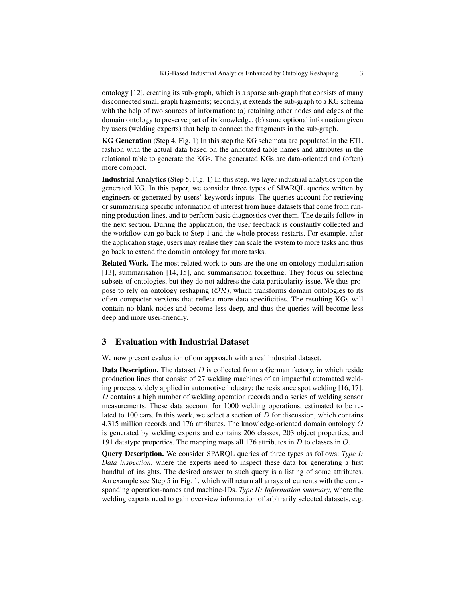ontology [12], creating its sub-graph, which is a sparse sub-graph that consists of many disconnected small graph fragments; secondly, it extends the sub-graph to a KG schema with the help of two sources of information: (a) retaining other nodes and edges of the domain ontology to preserve part of its knowledge, (b) some optional information given by users (welding experts) that help to connect the fragments in the sub-graph.

KG Generation (Step 4, Fig. 1) In this step the KG schemata are populated in the ETL fashion with the actual data based on the annotated table names and attributes in the relational table to generate the KGs. The generated KGs are data-oriented and (often) more compact.

Industrial Analytics (Step 5, Fig. 1) In this step, we layer industrial analytics upon the generated KG. In this paper, we consider three types of SPARQL queries written by engineers or generated by users' keywords inputs. The queries account for retrieving or summarising specific information of interest from huge datasets that come from running production lines, and to perform basic diagnostics over them. The details follow in the next section. During the application, the user feedback is constantly collected and the workflow can go back to Step 1 and the whole process restarts. For example, after the application stage, users may realise they can scale the system to more tasks and thus go back to extend the domain ontology for more tasks.

Related Work. The most related work to ours are the one on ontology modularisation [13], summarisation [14, 15], and summarisation forgetting. They focus on selecting subsets of ontologies, but they do not address the data particularity issue. We thus propose to rely on ontology reshaping  $(\mathcal{O}\mathcal{R})$ , which transforms domain ontologies to its often compacter versions that reflect more data specificities. The resulting KGs will contain no blank-nodes and become less deep, and thus the queries will become less deep and more user-friendly.

# 3 Evaluation with Industrial Dataset

We now present evaluation of our approach with a real industrial dataset.

**Data Description.** The dataset  $D$  is collected from a German factory, in which reside production lines that consist of 27 welding machines of an impactful automated welding process widely applied in automotive industry: the resistance spot welding [16, 17]. D contains a high number of welding operation records and a series of welding sensor measurements. These data account for 1000 welding operations, estimated to be related to 100 cars. In this work, we select a section of  $D$  for discussion, which contains 4.315 million records and 176 attributes. The knowledge-oriented domain ontology O is generated by welding experts and contains 206 classes, 203 object properties, and 191 datatype properties. The mapping maps all 176 attributes in  $D$  to classes in  $O$ .

Query Description. We consider SPARQL queries of three types as follows: *Type I: Data inspection*, where the experts need to inspect these data for generating a first handful of insights. The desired answer to such query is a listing of some attributes. An example see Step 5 in Fig. 1, which will return all arrays of currents with the corresponding operation-names and machine-IDs. *Type II: Information summary*, where the welding experts need to gain overview information of arbitrarily selected datasets, e.g.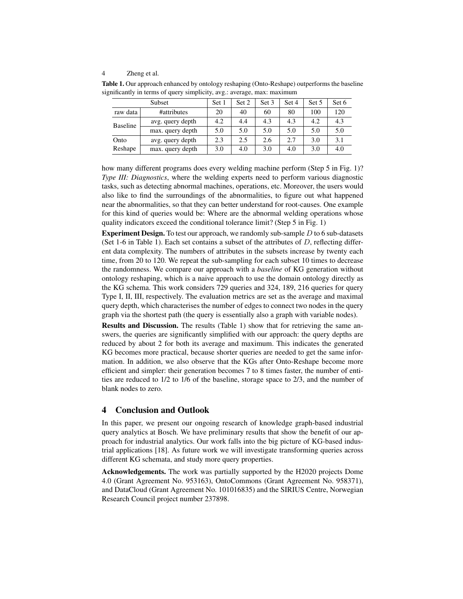#### 4 Zheng et al.

| Subset          |                  | Set 1 | Set 2 | Set 3 | Set 4 | Set 5 | Set 6 |
|-----------------|------------------|-------|-------|-------|-------|-------|-------|
| raw data        | #attributes      | 20    | 40    | 60    | 80    | 100   | 120   |
| <b>Baseline</b> | avg. query depth | 4.2   | 4.4   | 4.3   | 4.3   | 4.2   | 4.3   |
|                 | max. query depth | 5.0   | 5.0   | 5.0   | 5.0   | 5.0   | 5.0   |
| Onto            | avg. query depth | 2.3   | 2.5   | 2.6   | 2.7   | 3.0   | 3.1   |
| Reshape         | max. query depth | 3.0   | 4.0   | 3.0   | 4.0   | 3.0   | 4.0   |

Table 1. Our approach enhanced by ontology reshaping (Onto-Reshape) outperforms the baseline significantly in terms of query simplicity, avg.: average, max: maximum

how many different programs does every welding machine perform (Step 5 in Fig. 1)? *Type III: Diagnostics*, where the welding experts need to perform various diagnostic tasks, such as detecting abnormal machines, operations, etc. Moreover, the users would also like to find the surroundings of the abnormalities, to figure out what happened near the abnormalities, so that they can better understand for root-causes. One example for this kind of queries would be: Where are the abnormal welding operations whose quality indicators exceed the conditional tolerance limit? (Step 5 in Fig. 1)

**Experiment Design.** To test our approach, we randomly sub-sample  $D$  to 6 sub-datasets (Set 1-6 in Table 1). Each set contains a subset of the attributes of  $D$ , reflecting different data complexity. The numbers of attributes in the subsets increase by twenty each time, from 20 to 120. We repeat the sub-sampling for each subset 10 times to decrease the randomness. We compare our approach with a *baseline* of KG generation without ontology reshaping, which is a naive approach to use the domain ontology directly as the KG schema. This work considers 729 queries and 324, 189, 216 queries for query Type I, II, III, respectively. The evaluation metrics are set as the average and maximal query depth, which characterises the number of edges to connect two nodes in the query graph via the shortest path (the query is essentially also a graph with variable nodes).

Results and Discussion. The results (Table 1) show that for retrieving the same answers, the queries are significantly simplified with our approach: the query depths are reduced by about 2 for both its average and maximum. This indicates the generated KG becomes more practical, because shorter queries are needed to get the same information. In addition, we also observe that the KGs after Onto-Reshape become more efficient and simpler: their generation becomes 7 to 8 times faster, the number of entities are reduced to 1/2 to 1/6 of the baseline, storage space to 2/3, and the number of blank nodes to zero.

## 4 Conclusion and Outlook

In this paper, we present our ongoing research of knowledge graph-based industrial query analytics at Bosch. We have preliminary results that show the benefit of our approach for industrial analytics. Our work falls into the big picture of KG-based industrial applications [18]. As future work we will investigate transforming queries across different KG schemata, and study more query properties.

Acknowledgements. The work was partially supported by the H2020 projects Dome 4.0 (Grant Agreement No. 953163), OntoCommons (Grant Agreement No. 958371), and DataCloud (Grant Agreement No. 101016835) and the SIRIUS Centre, Norwegian Research Council project number 237898.